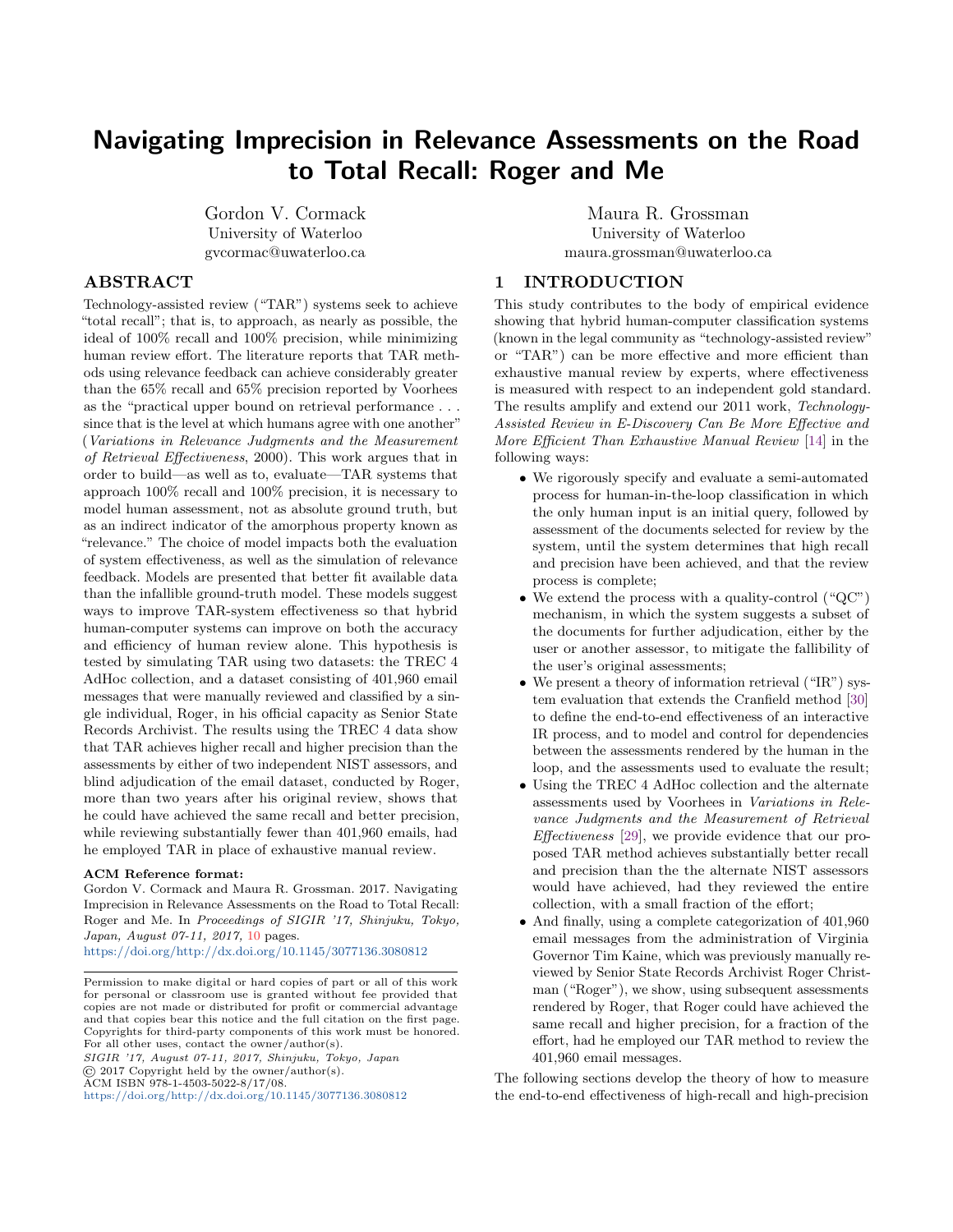# <span id="page-0-0"></span>Navigating Imprecision in Relevance Assessments on the Road to Total Recall: Roger and Me

Gordon V. Cormack University of Waterloo gvcormac@uwaterloo.ca

# ABSTRACT

Technology-assisted review ("TAR") systems seek to achieve "total recall"; that is, to approach, as nearly as possible, the ideal of 100% recall and 100% precision, while minimizing human review effort. The literature reports that TAR methods using relevance feedback can achieve considerably greater than the 65% recall and 65% precision reported by Voorhees as the "practical upper bound on retrieval performance . . . since that is the level at which humans agree with one another" (Variations in Relevance Judgments and the Measurement of Retrieval Effectiveness, 2000). This work argues that in order to build—as well as to, evaluate—TAR systems that approach 100% recall and 100% precision, it is necessary to model human assessment, not as absolute ground truth, but as an indirect indicator of the amorphous property known as "relevance." The choice of model impacts both the evaluation of system effectiveness, as well as the simulation of relevance feedback. Models are presented that better fit available data than the infallible ground-truth model. These models suggest ways to improve TAR-system effectiveness so that hybrid human-computer systems can improve on both the accuracy and efficiency of human review alone. This hypothesis is tested by simulating TAR using two datasets: the TREC 4 AdHoc collection, and a dataset consisting of 401,960 email messages that were manually reviewed and classified by a single individual, Roger, in his official capacity as Senior State Records Archivist. The results using the TREC 4 data show that TAR achieves higher recall and higher precision than the assessments by either of two independent NIST assessors, and blind adjudication of the email dataset, conducted by Roger, more than two years after his original review, shows that he could have achieved the same recall and better precision, while reviewing substantially fewer than 401,960 emails, had he employed TAR in place of exhaustive manual review.

#### ACM Reference format:

Gordon V. Cormack and Maura R. Grossman. 2017. Navigating Imprecision in Relevance Assessments on the Road to Total Recall: Roger and Me. In Proceedings of SIGIR '17, Shinjuku, Tokyo, Japan, August 07-11, 2017, [10](#page-9-0) pages.

<https://doi.org/http://dx.doi.org/10.1145/3077136.3080812>

SIGIR '17, August 07-11, 2017, Shinjuku, Tokyo, Japan © 2017 Copyright held by the owner/author(s).

ACM ISBN 978-1-4503-5022-8/17/08.

Maura R. Grossman University of Waterloo maura.grossman@uwaterloo.ca

### 1 INTRODUCTION

This study contributes to the body of empirical evidence showing that hybrid human-computer classification systems (known in the legal community as "technology-assisted review" or "TAR") can be more effective and more efficient than exhaustive manual review by experts, where effectiveness is measured with respect to an independent gold standard. The results amplify and extend our 2011 work, Technology-Assisted Review in E-Discovery Can Be More Effective and More Efficient Than Exhaustive Manual Review [\[14\]](#page-9-1) in the following ways:

- ∙ We rigorously specify and evaluate a semi-automated process for human-in-the-loop classification in which the only human input is an initial query, followed by assessment of the documents selected for review by the system, until the system determines that high recall and precision have been achieved, and that the review process is complete;
- ∙ We extend the process with a quality-control ("QC") mechanism, in which the system suggests a subset of the documents for further adjudication, either by the user or another assessor, to mitigate the fallibility of the user's original assessments;
- ∙ We present a theory of information retrieval ("IR") system evaluation that extends the Cranfield method [\[30\]](#page-9-2) to define the end-to-end effectiveness of an interactive IR process, and to model and control for dependencies between the assessments rendered by the human in the loop, and the assessments used to evaluate the result;
- ∙ Using the TREC 4 AdHoc collection and the alternate assessments used by Voorhees in Variations in Relevance Judgments and the Measurement of Retrieval Effectiveness [\[29\]](#page-9-3), we provide evidence that our proposed TAR method achieves substantially better recall and precision than the the alternate NIST assessors would have achieved, had they reviewed the entire collection, with a small fraction of the effort;
- ∙ And finally, using a complete categorization of 401,960 email messages from the administration of Virginia Governor Tim Kaine, which was previously manually reviewed by Senior State Records Archivist Roger Christman ("Roger"), we show, using subsequent assessments rendered by Roger, that Roger could have achieved the same recall and higher precision, for a fraction of the effort, had he employed our TAR method to review the 401,960 email messages.

The following sections develop the theory of how to measure the end-to-end effectiveness of high-recall and high-precision

Permission to make digital or hard copies of part or all of this work for personal or classroom use is granted without fee provided that copies are not made or distributed for profit or commercial advantage and that copies bear this notice and the full citation on the first page. Copyrights for third-party components of this work must be honored. For all other uses, contact the owner/author(s).

<https://doi.org/http://dx.doi.org/10.1145/3077136.3080812>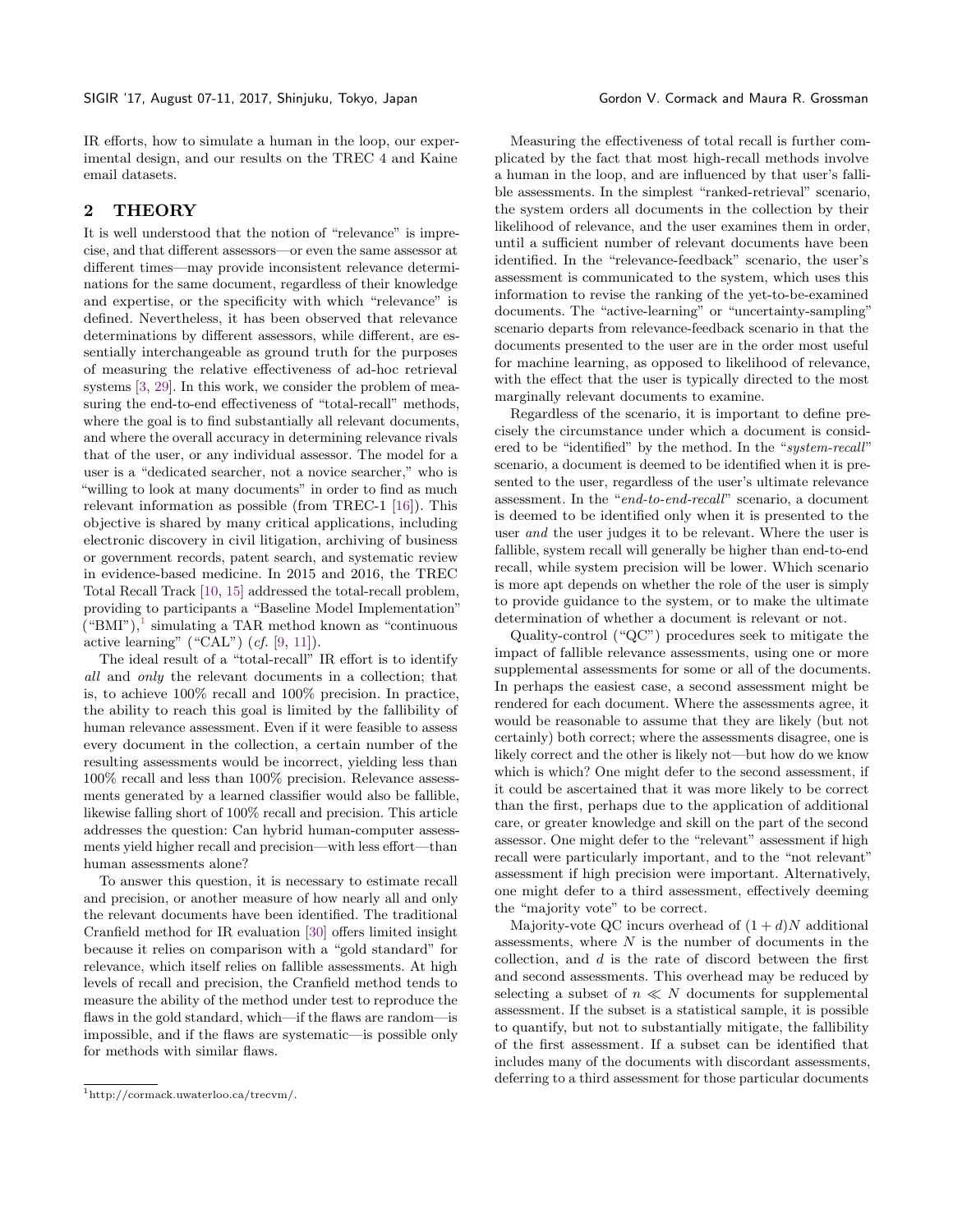IR efforts, how to simulate a human in the loop, our experimental design, and our results on the TREC 4 and Kaine email datasets.

## <span id="page-1-1"></span>2 THEORY

It is well understood that the notion of "relevance" is imprecise, and that different assessors—or even the same assessor at different times—may provide inconsistent relevance determinations for the same document, regardless of their knowledge and expertise, or the specificity with which "relevance" is defined. Nevertheless, it has been observed that relevance determinations by different assessors, while different, are essentially interchangeable as ground truth for the purposes of measuring the relative effectiveness of ad-hoc retrieval systems [\[3,](#page-9-4) [29\]](#page-9-3). In this work, we consider the problem of measuring the end-to-end effectiveness of "total-recall" methods, where the goal is to find substantially all relevant documents, and where the overall accuracy in determining relevance rivals that of the user, or any individual assessor. The model for a user is a "dedicated searcher, not a novice searcher," who is "willing to look at many documents" in order to find as much relevant information as possible (from TREC-1 [\[16\]](#page-9-5)). This objective is shared by many critical applications, including electronic discovery in civil litigation, archiving of business or government records, patent search, and systematic review in evidence-based medicine. In 2015 and 2016, the TREC Total Recall Track [\[10,](#page-9-6) [15\]](#page-9-7) addressed the total-recall problem, providing to participants a "Baseline Model Implementation"  $({}^{\omega}$ BMI"),<sup>[1](#page-1-0)</sup> simulating a TAR method known as "continuous active learning" ("CAL")  $(cf. [9, 11])$  $(cf. [9, 11])$  $(cf. [9, 11])$  $(cf. [9, 11])$  $(cf. [9, 11])$ .

The ideal result of a "total-recall" IR effort is to identify all and only the relevant documents in a collection; that is, to achieve 100% recall and 100% precision. In practice, the ability to reach this goal is limited by the fallibility of human relevance assessment. Even if it were feasible to assess every document in the collection, a certain number of the resulting assessments would be incorrect, yielding less than 100% recall and less than 100% precision. Relevance assessments generated by a learned classifier would also be fallible, likewise falling short of 100% recall and precision. This article addresses the question: Can hybrid human-computer assessments yield higher recall and precision—with less effort—than human assessments alone?

To answer this question, it is necessary to estimate recall and precision, or another measure of how nearly all and only the relevant documents have been identified. The traditional Cranfield method for IR evaluation [\[30\]](#page-9-2) offers limited insight because it relies on comparison with a "gold standard" for relevance, which itself relies on fallible assessments. At high levels of recall and precision, the Cranfield method tends to measure the ability of the method under test to reproduce the flaws in the gold standard, which—if the flaws are random—is impossible, and if the flaws are systematic—is possible only for methods with similar flaws.

Measuring the effectiveness of total recall is further complicated by the fact that most high-recall methods involve a human in the loop, and are influenced by that user's fallible assessments. In the simplest "ranked-retrieval" scenario, the system orders all documents in the collection by their likelihood of relevance, and the user examines them in order, until a sufficient number of relevant documents have been identified. In the "relevance-feedback" scenario, the user's assessment is communicated to the system, which uses this information to revise the ranking of the yet-to-be-examined documents. The "active-learning" or "uncertainty-sampling" scenario departs from relevance-feedback scenario in that the documents presented to the user are in the order most useful for machine learning, as opposed to likelihood of relevance, with the effect that the user is typically directed to the most marginally relevant documents to examine.

Regardless of the scenario, it is important to define precisely the circumstance under which a document is considered to be "identified" by the method. In the "system-recall" scenario, a document is deemed to be identified when it is presented to the user, regardless of the user's ultimate relevance assessment. In the "end-to-end-recall" scenario, a document is deemed to be identified only when it is presented to the user *and* the user judges it to be relevant. Where the user is fallible, system recall will generally be higher than end-to-end recall, while system precision will be lower. Which scenario is more apt depends on whether the role of the user is simply to provide guidance to the system, or to make the ultimate determination of whether a document is relevant or not.

Quality-control ("QC") procedures seek to mitigate the impact of fallible relevance assessments, using one or more supplemental assessments for some or all of the documents. In perhaps the easiest case, a second assessment might be rendered for each document. Where the assessments agree, it would be reasonable to assume that they are likely (but not certainly) both correct; where the assessments disagree, one is likely correct and the other is likely not—but how do we know which is which? One might defer to the second assessment, if it could be ascertained that it was more likely to be correct than the first, perhaps due to the application of additional care, or greater knowledge and skill on the part of the second assessor. One might defer to the "relevant" assessment if high recall were particularly important, and to the "not relevant" assessment if high precision were important. Alternatively, one might defer to a third assessment, effectively deeming the "majority vote" to be correct.

Majority-vote QC incurs overhead of  $(1 + d)N$  additional assessments, where  $N$  is the number of documents in the collection, and  $d$  is the rate of discord between the first and second assessments. This overhead may be reduced by selecting a subset of  $n \ll N$  documents for supplemental assessment. If the subset is a statistical sample, it is possible to quantify, but not to substantially mitigate, the fallibility of the first assessment. If a subset can be identified that includes many of the documents with discordant assessments, deferring to a third assessment for those particular documents

<span id="page-1-0"></span><sup>1</sup>http://cormack.uwaterloo.ca/trecvm/.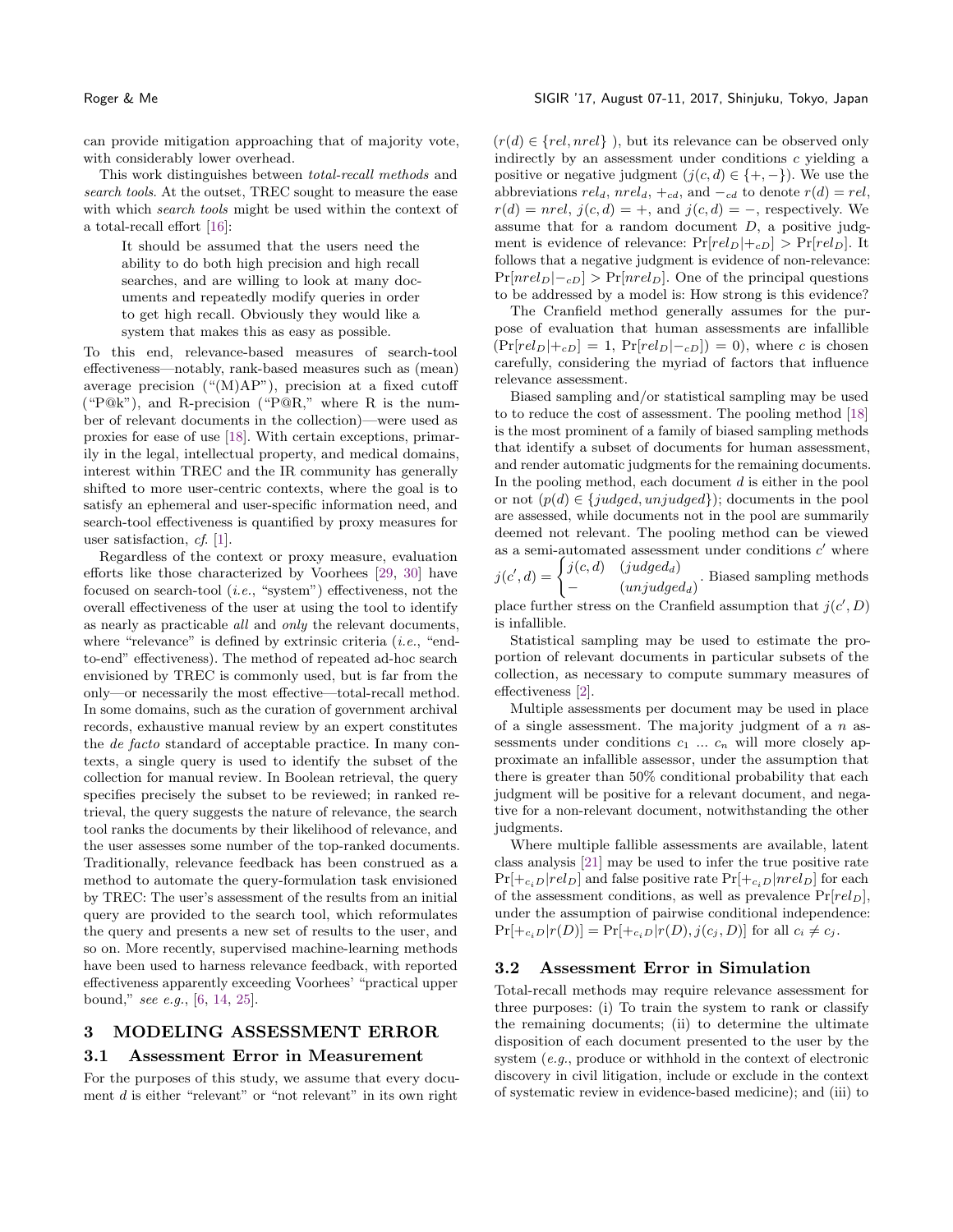This work distinguishes between total-recall methods and search tools. At the outset, TREC sought to measure the ease with which *search tools* might be used within the context of a total-recall effort [\[16\]](#page-9-5):

It should be assumed that the users need the ability to do both high precision and high recall searches, and are willing to look at many documents and repeatedly modify queries in order to get high recall. Obviously they would like a system that makes this as easy as possible.

To this end, relevance-based measures of search-tool effectiveness—notably, rank-based measures such as (mean) average precision ("(M)AP"), precision at a fixed cutoff ("P@k"), and R-precision ("P@R," where R is the number of relevant documents in the collection)—were used as proxies for ease of use [\[18\]](#page-9-10). With certain exceptions, primarily in the legal, intellectual property, and medical domains, interest within TREC and the IR community has generally shifted to more user-centric contexts, where the goal is to satisfy an ephemeral and user-specific information need, and search-tool effectiveness is quantified by proxy measures for user satisfaction, cf. [\[1\]](#page-9-11).

Regardless of the context or proxy measure, evaluation efforts like those characterized by Voorhees [\[29,](#page-9-3) [30\]](#page-9-2) have focused on search-tool (i.e., "system") effectiveness, not the overall effectiveness of the user at using the tool to identify as nearly as practicable all and only the relevant documents, where "relevance" is defined by extrinsic criteria  $(i.e.,$  "endto-end" effectiveness). The method of repeated ad-hoc search envisioned by TREC is commonly used, but is far from the only—or necessarily the most effective—total-recall method. In some domains, such as the curation of government archival records, exhaustive manual review by an expert constitutes the de facto standard of acceptable practice. In many contexts, a single query is used to identify the subset of the collection for manual review. In Boolean retrieval, the query specifies precisely the subset to be reviewed; in ranked retrieval, the query suggests the nature of relevance, the search tool ranks the documents by their likelihood of relevance, and the user assesses some number of the top-ranked documents. Traditionally, relevance feedback has been construed as a method to automate the query-formulation task envisioned by TREC: The user's assessment of the results from an initial query are provided to the search tool, which reformulates the query and presents a new set of results to the user, and so on. More recently, supervised machine-learning methods have been used to harness relevance feedback, with reported effectiveness apparently exceeding Voorhees' "practical upper bound," see e.g., [\[6,](#page-9-12) [14,](#page-9-1) [25\]](#page-9-13).

#### 3 MODELING ASSESSMENT ERROR

#### 3.1 Assessment Error in Measurement

For the purposes of this study, we assume that every document  $d$  is either "relevant" or "not relevant" in its own right

 $(r(d) \in \{rel, nrel\})$ , but its relevance can be observed only indirectly by an assessment under conditions  $c$  yielding a positive or negative judgment  $(j(c, d) \in \{+, -\})$ . We use the abbreviations  $rel_d$ ,  $nrel_d$ ,  $+_{cd}$ , and  $-_{cd}$  to denote  $r(d) = rel$ ,  $r(d) = nrel, j(c, d) = +$ , and  $j(c, d) = -$ , respectively. We assume that for a random document  $D$ , a positive judgment is evidence of relevance:  $Pr[rel_D | + c_D] > Pr[rel_D]$ . It follows that a negative judgment is evidence of non-relevance:  $Pr[nerb] - cD$  >  $Pr[nerb]$ . One of the principal questions to be addressed by a model is: How strong is this evidence?

The Cranfield method generally assumes for the purpose of evaluation that human assessments are infallible  $(\Pr[rel_D|+_{cD}]=1, \Pr[rel_D|-_{cD}])=0$ , where c is chosen carefully, considering the myriad of factors that influence relevance assessment.

Biased sampling and/or statistical sampling may be used to to reduce the cost of assessment. The pooling method [\[18\]](#page-9-10) is the most prominent of a family of biased sampling methods that identify a subset of documents for human assessment, and render automatic judgments for the remaining documents. In the pooling method, each document  $d$  is either in the pool or not  $(p(d) \in \{judged,unjudged\})$ ; documents in the pool are assessed, while documents not in the pool are summarily deemed not relevant. The pooling method can be viewed as a semi-automated assessment under conditions  $c'$  where  $j(c', d) = \begin{cases}$  $\int j(c, d)$  (judged<sub>d</sub>)  $\begin{pmatrix} - & (unjudged_d) \\ - & (unjudged_d) \end{pmatrix}$ . Biased sampling methods place further stress on the Cranfield assumption that  $j(c', D)$ 

is infallible.

Statistical sampling may be used to estimate the proportion of relevant documents in particular subsets of the collection, as necessary to compute summary measures of effectiveness [\[2\]](#page-9-14).

Multiple assessments per document may be used in place of a single assessment. The majority judgment of a  $n$  assessments under conditions  $c_1 \ldots c_n$  will more closely approximate an infallible assessor, under the assumption that there is greater than 50% conditional probability that each judgment will be positive for a relevant document, and negative for a non-relevant document, notwithstanding the other judgments.

Where multiple fallible assessments are available, latent class analysis [\[21\]](#page-9-15) may be used to infer the true positive rate  $Pr[+_{c_i D}|rel_D]$  and false positive rate  $Pr[+_{c_i D}|rel_D]$  for each of the assessment conditions, as well as prevalence  $Pr[rel_D]$ , under the assumption of pairwise conditional independence:  $Pr[+_{c_i D}|r(D)] = Pr[+_{c_i D}|r(D), j(c_j, D)]$  for all  $c_i \neq c_j$ .

#### 3.2 Assessment Error in Simulation

Total-recall methods may require relevance assessment for three purposes: (i) To train the system to rank or classify the remaining documents; (ii) to determine the ultimate disposition of each document presented to the user by the system (e.g., produce or withhold in the context of electronic discovery in civil litigation, include or exclude in the context of systematic review in evidence-based medicine); and (iii) to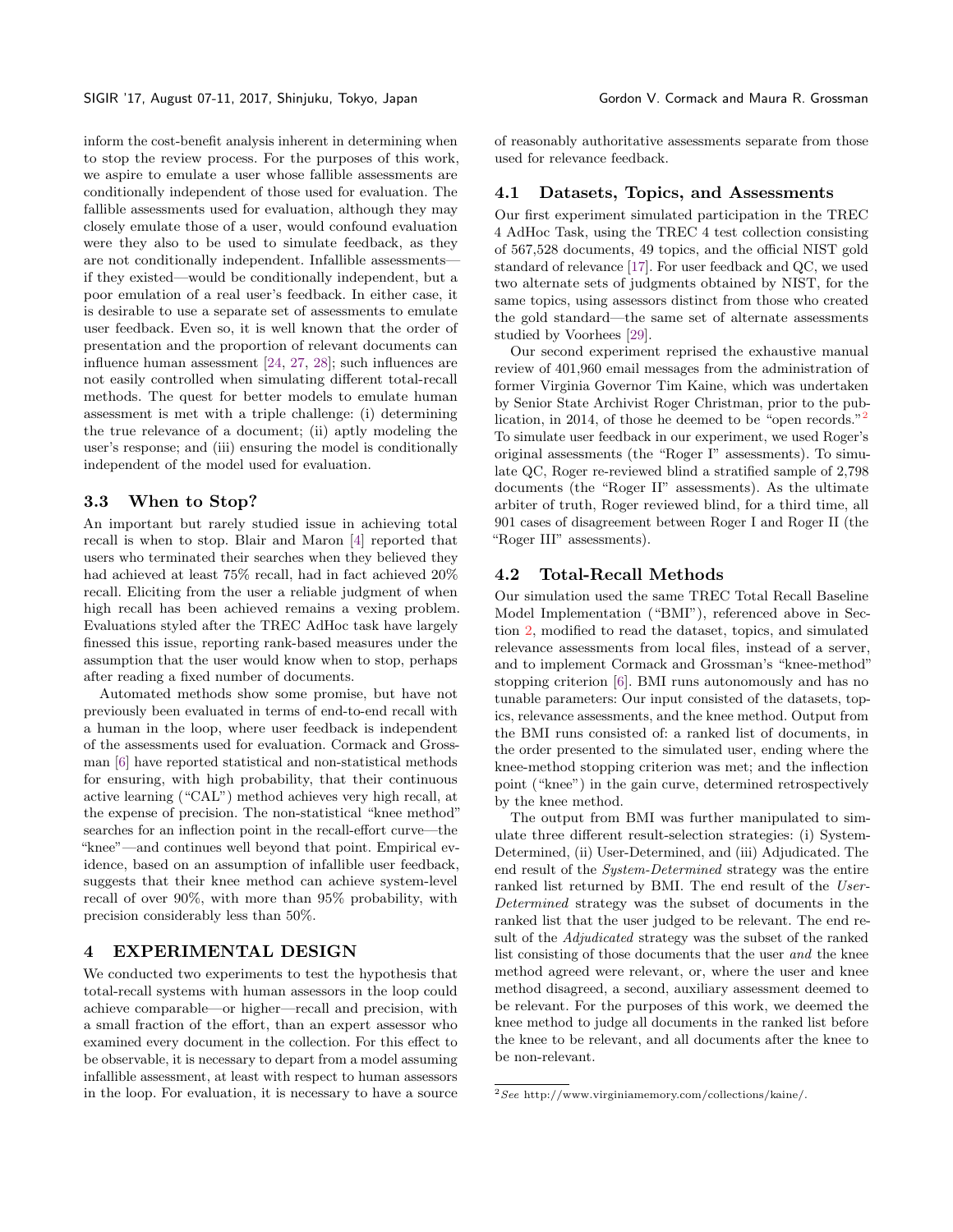SIGIR '17, August 07-11, 2017, Shinjuku, Tokyo, Japan Gordon V. Cormack and Maura R. Grossman

inform the cost-benefit analysis inherent in determining when to stop the review process. For the purposes of this work, we aspire to emulate a user whose fallible assessments are conditionally independent of those used for evaluation. The fallible assessments used for evaluation, although they may closely emulate those of a user, would confound evaluation were they also to be used to simulate feedback, as they are not conditionally independent. Infallible assessments if they existed—would be conditionally independent, but a poor emulation of a real user's feedback. In either case, it is desirable to use a separate set of assessments to emulate user feedback. Even so, it is well known that the order of presentation and the proportion of relevant documents can influence human assessment [\[24,](#page-9-16) [27,](#page-9-17) [28\]](#page-9-18); such influences are not easily controlled when simulating different total-recall methods. The quest for better models to emulate human assessment is met with a triple challenge: (i) determining the true relevance of a document; (ii) aptly modeling the user's response; and (iii) ensuring the model is conditionally independent of the model used for evaluation.

#### 3.3 When to Stop?

An important but rarely studied issue in achieving total recall is when to stop. Blair and Maron [\[4\]](#page-9-19) reported that users who terminated their searches when they believed they had achieved at least 75% recall, had in fact achieved 20% recall. Eliciting from the user a reliable judgment of when high recall has been achieved remains a vexing problem. Evaluations styled after the TREC AdHoc task have largely finessed this issue, reporting rank-based measures under the assumption that the user would know when to stop, perhaps after reading a fixed number of documents.

Automated methods show some promise, but have not previously been evaluated in terms of end-to-end recall with a human in the loop, where user feedback is independent of the assessments used for evaluation. Cormack and Grossman [\[6\]](#page-9-12) have reported statistical and non-statistical methods for ensuring, with high probability, that their continuous active learning ("CAL") method achieves very high recall, at the expense of precision. The non-statistical "knee method" searches for an inflection point in the recall-effort curve—the "knee"—and continues well beyond that point. Empirical evidence, based on an assumption of infallible user feedback, suggests that their knee method can achieve system-level recall of over 90%, with more than 95% probability, with precision considerably less than 50%.

#### 4 EXPERIMENTAL DESIGN

We conducted two experiments to test the hypothesis that total-recall systems with human assessors in the loop could achieve comparable—or higher—recall and precision, with a small fraction of the effort, than an expert assessor who examined every document in the collection. For this effect to be observable, it is necessary to depart from a model assuming infallible assessment, at least with respect to human assessors in the loop. For evaluation, it is necessary to have a source of reasonably authoritative assessments separate from those used for relevance feedback.

#### 4.1 Datasets, Topics, and Assessments

Our first experiment simulated participation in the TREC 4 AdHoc Task, using the TREC 4 test collection consisting of 567,528 documents, 49 topics, and the official NIST gold standard of relevance [\[17\]](#page-9-20). For user feedback and QC, we used two alternate sets of judgments obtained by NIST, for the same topics, using assessors distinct from those who created the gold standard—the same set of alternate assessments studied by Voorhees [\[29\]](#page-9-3).

Our second experiment reprised the exhaustive manual review of 401,960 email messages from the administration of former Virginia Governor Tim Kaine, which was undertaken by Senior State Archivist Roger Christman, prior to the pub-lication, in [2](#page-3-0)014, of those he deemed to be "open records."<sup>2</sup> To simulate user feedback in our experiment, we used Roger's original assessments (the "Roger I" assessments). To simulate QC, Roger re-reviewed blind a stratified sample of 2,798 documents (the "Roger II" assessments). As the ultimate arbiter of truth, Roger reviewed blind, for a third time, all 901 cases of disagreement between Roger I and Roger II (the "Roger III" assessments).

#### 4.2 Total-Recall Methods

Our simulation used the same TREC Total Recall Baseline Model Implementation ("BMI"), referenced above in Section [2,](#page-1-1) modified to read the dataset, topics, and simulated relevance assessments from local files, instead of a server, and to implement Cormack and Grossman's "knee-method" stopping criterion [\[6\]](#page-9-12). BMI runs autonomously and has no tunable parameters: Our input consisted of the datasets, topics, relevance assessments, and the knee method. Output from the BMI runs consisted of: a ranked list of documents, in the order presented to the simulated user, ending where the knee-method stopping criterion was met; and the inflection point ("knee") in the gain curve, determined retrospectively by the knee method.

The output from BMI was further manipulated to simulate three different result-selection strategies: (i) System-Determined, (ii) User-Determined, and (iii) Adjudicated. The end result of the System-Determined strategy was the entire ranked list returned by BMI. The end result of the User-Determined strategy was the subset of documents in the ranked list that the user judged to be relevant. The end result of the Adjudicated strategy was the subset of the ranked list consisting of those documents that the user and the knee method agreed were relevant, or, where the user and knee method disagreed, a second, auxiliary assessment deemed to be relevant. For the purposes of this work, we deemed the knee method to judge all documents in the ranked list before the knee to be relevant, and all documents after the knee to be non-relevant.

<span id="page-3-0"></span> $2e$ ee http://www.virginiamemory.com/collections/kaine/.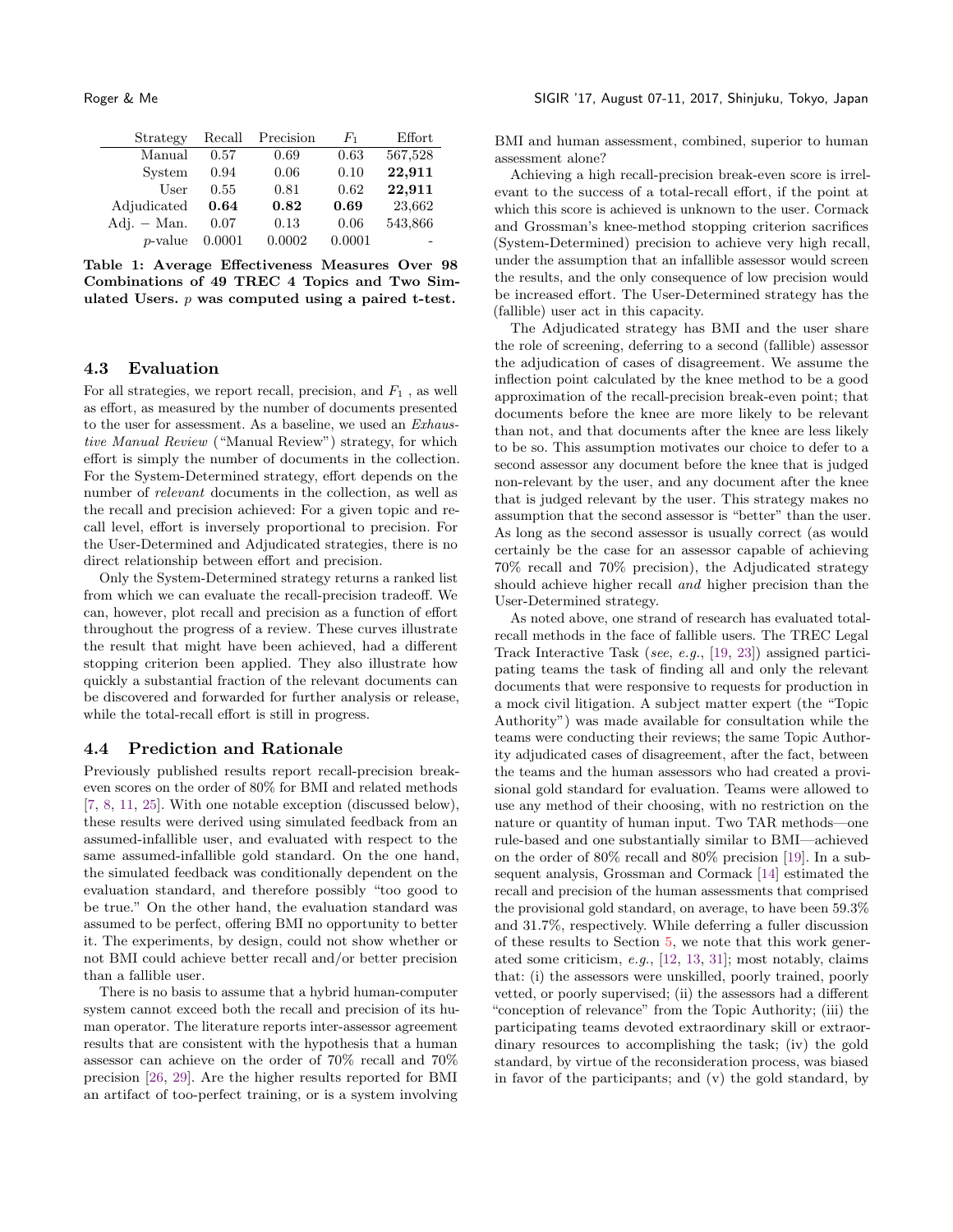<span id="page-4-0"></span>

| Strategy        | Recall | Precision | $F_1$  | Effort  |
|-----------------|--------|-----------|--------|---------|
| Manual          | 0.57   | 0.69      | 0.63   | 567,528 |
| System          | 0.94   | 0.06      | 0.10   | 22,911  |
| User            | 0.55   | 0.81      | 0.62   | 22,911  |
| Adjudicated     | 0.64   | 0.82      | 0.69   | 23,662  |
| $Adi. - Man.$   | 0.07   | 0.13      | 0.06   | 543,866 |
| <i>p</i> -value | 0.0001 | 0.0002    | 0.0001 |         |

Table 1: Average Effectiveness Measures Over 98 Combinations of 49 TREC 4 Topics and Two Simulated Users.  $p$  was computed using a paired t-test.

#### 4.3 Evaluation

For all strategies, we report recall, precision, and  $F_1$ , as well as effort, as measured by the number of documents presented to the user for assessment. As a baseline, we used an Exhaustive Manual Review ("Manual Review") strategy, for which effort is simply the number of documents in the collection. For the System-Determined strategy, effort depends on the number of relevant documents in the collection, as well as the recall and precision achieved: For a given topic and recall level, effort is inversely proportional to precision. For the User-Determined and Adjudicated strategies, there is no direct relationship between effort and precision.

Only the System-Determined strategy returns a ranked list from which we can evaluate the recall-precision tradeoff. We can, however, plot recall and precision as a function of effort throughout the progress of a review. These curves illustrate the result that might have been achieved, had a different stopping criterion been applied. They also illustrate how quickly a substantial fraction of the relevant documents can be discovered and forwarded for further analysis or release, while the total-recall effort is still in progress.

#### 4.4 Prediction and Rationale

Previously published results report recall-precision breakeven scores on the order of 80% for BMI and related methods [\[7,](#page-9-21) [8,](#page-9-22) [11,](#page-9-9) [25\]](#page-9-13). With one notable exception (discussed below), these results were derived using simulated feedback from an assumed-infallible user, and evaluated with respect to the same assumed-infallible gold standard. On the one hand, the simulated feedback was conditionally dependent on the evaluation standard, and therefore possibly "too good to be true." On the other hand, the evaluation standard was assumed to be perfect, offering BMI no opportunity to better it. The experiments, by design, could not show whether or not BMI could achieve better recall and/or better precision than a fallible user.

There is no basis to assume that a hybrid human-computer system cannot exceed both the recall and precision of its human operator. The literature reports inter-assessor agreement results that are consistent with the hypothesis that a human assessor can achieve on the order of 70% recall and 70% precision [\[26,](#page-9-23) [29\]](#page-9-3). Are the higher results reported for BMI an artifact of too-perfect training, or is a system involving BMI and human assessment, combined, superior to human assessment alone?

Achieving a high recall-precision break-even score is irrelevant to the success of a total-recall effort, if the point at which this score is achieved is unknown to the user. Cormack and Grossman's knee-method stopping criterion sacrifices (System-Determined) precision to achieve very high recall, under the assumption that an infallible assessor would screen the results, and the only consequence of low precision would be increased effort. The User-Determined strategy has the (fallible) user act in this capacity.

The Adjudicated strategy has BMI and the user share the role of screening, deferring to a second (fallible) assessor the adjudication of cases of disagreement. We assume the inflection point calculated by the knee method to be a good approximation of the recall-precision break-even point; that documents before the knee are more likely to be relevant than not, and that documents after the knee are less likely to be so. This assumption motivates our choice to defer to a second assessor any document before the knee that is judged non-relevant by the user, and any document after the knee that is judged relevant by the user. This strategy makes no assumption that the second assessor is "better" than the user. As long as the second assessor is usually correct (as would certainly be the case for an assessor capable of achieving 70% recall and 70% precision), the Adjudicated strategy should achieve higher recall and higher precision than the User-Determined strategy.

As noted above, one strand of research has evaluated totalrecall methods in the face of fallible users. The TREC Legal Track Interactive Task (see, e.g., [\[19,](#page-9-24) [23\]](#page-9-25)) assigned participating teams the task of finding all and only the relevant documents that were responsive to requests for production in a mock civil litigation. A subject matter expert (the "Topic Authority") was made available for consultation while the teams were conducting their reviews; the same Topic Authority adjudicated cases of disagreement, after the fact, between the teams and the human assessors who had created a provisional gold standard for evaluation. Teams were allowed to use any method of their choosing, with no restriction on the nature or quantity of human input. Two TAR methods—one rule-based and one substantially similar to BMI—achieved on the order of 80% recall and 80% precision [\[19\]](#page-9-24). In a subsequent analysis, Grossman and Cormack [\[14\]](#page-9-1) estimated the recall and precision of the human assessments that comprised the provisional gold standard, on average, to have been 59.3% and 31.7%, respectively. While deferring a fuller discussion of these results to Section [5,](#page-0-0) we note that this work generated some criticism, e.g., [\[12,](#page-9-26) [13,](#page-9-27) [31\]](#page-9-28); most notably, claims that: (i) the assessors were unskilled, poorly trained, poorly vetted, or poorly supervised; (ii) the assessors had a different "conception of relevance" from the Topic Authority; (iii) the participating teams devoted extraordinary skill or extraordinary resources to accomplishing the task; (iv) the gold standard, by virtue of the reconsideration process, was biased in favor of the participants; and (v) the gold standard, by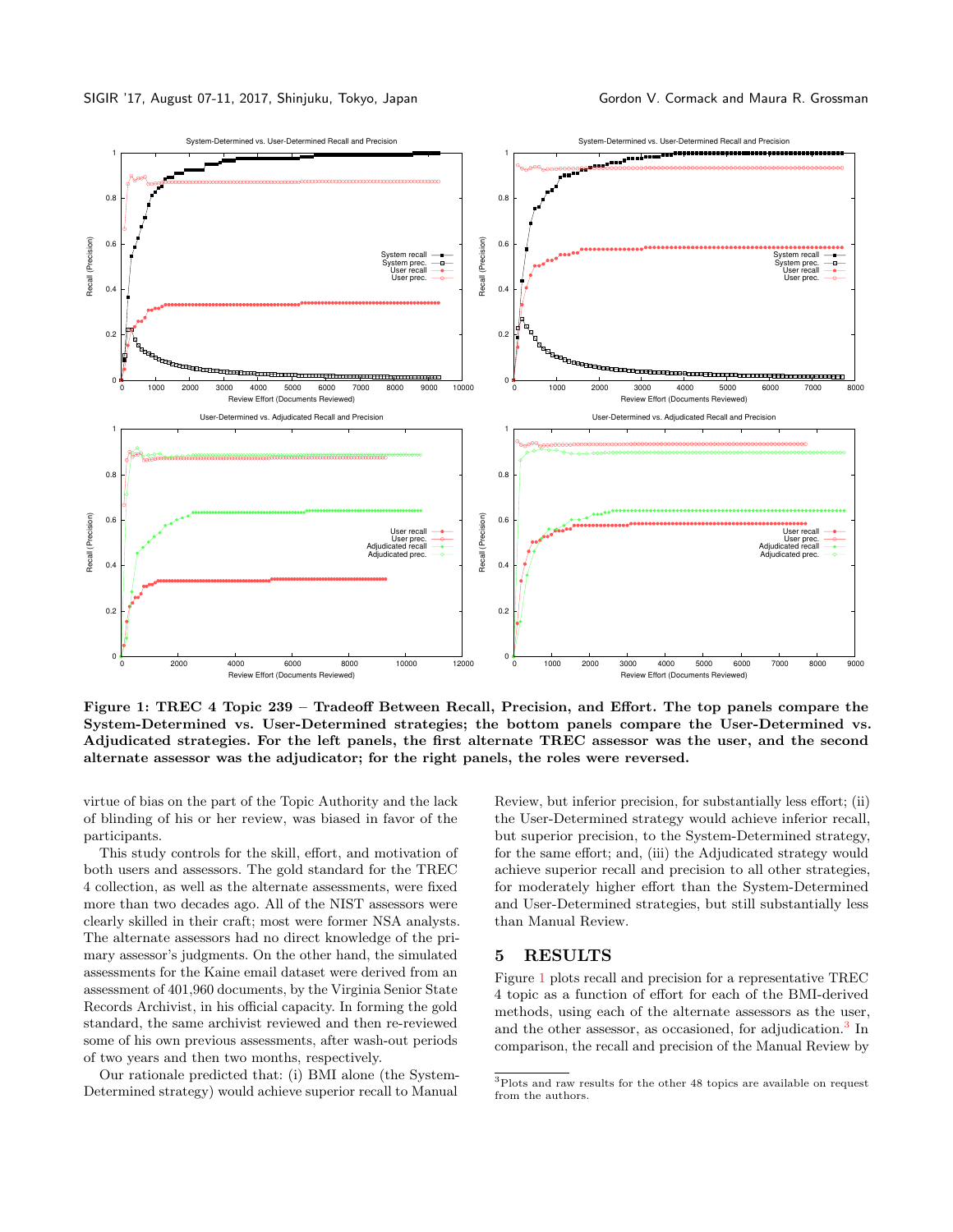<span id="page-5-0"></span>

Figure 1: TREC 4 Topic 239 – Tradeoff Between Recall, Precision, and Effort. The top panels compare the System-Determined vs. User-Determined strategies; the bottom panels compare the User-Determined vs. Adjudicated strategies. For the left panels, the first alternate TREC assessor was the user, and the second alternate assessor was the adjudicator; for the right panels, the roles were reversed.

virtue of bias on the part of the Topic Authority and the lack of blinding of his or her review, was biased in favor of the participants.

This study controls for the skill, effort, and motivation of both users and assessors. The gold standard for the TREC 4 collection, as well as the alternate assessments, were fixed more than two decades ago. All of the NIST assessors were clearly skilled in their craft; most were former NSA analysts. The alternate assessors had no direct knowledge of the primary assessor's judgments. On the other hand, the simulated assessments for the Kaine email dataset were derived from an assessment of 401,960 documents, by the Virginia Senior State Records Archivist, in his official capacity. In forming the gold standard, the same archivist reviewed and then re-reviewed some of his own previous assessments, after wash-out periods of two years and then two months, respectively.

Our rationale predicted that: (i) BMI alone (the System-Determined strategy) would achieve superior recall to Manual

Review, but inferior precision, for substantially less effort; (ii) the User-Determined strategy would achieve inferior recall, but superior precision, to the System-Determined strategy, for the same effort; and, (iii) the Adjudicated strategy would achieve superior recall and precision to all other strategies, for moderately higher effort than the System-Determined and User-Determined strategies, but still substantially less than Manual Review.

#### 5 RESULTS

Figure [1](#page-5-0) plots recall and precision for a representative TREC 4 topic as a function of effort for each of the BMI-derived methods, using each of the alternate assessors as the user, and the other assessor, as occasioned, for adjudication.<sup>[3](#page-5-1)</sup> In comparison, the recall and precision of the Manual Review by

<span id="page-5-1"></span><sup>3</sup>Plots and raw results for the other 48 topics are available on request from the authors.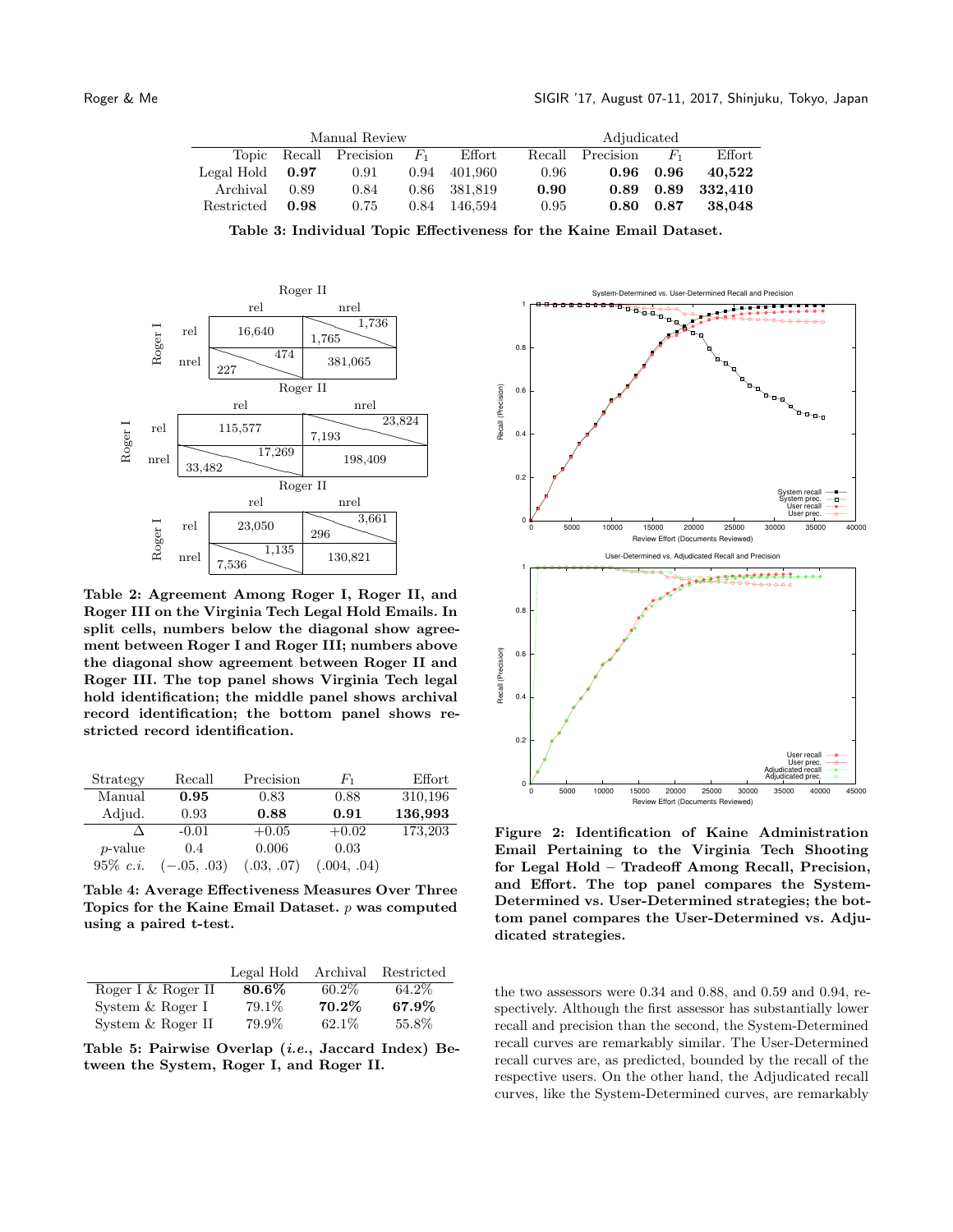<span id="page-6-2"></span>

| Manual Review |      |                        | Adjudicated |              |      |                  |            |         |
|---------------|------|------------------------|-------------|--------------|------|------------------|------------|---------|
|               |      | Topic Recall Precision | $F_1$       | Effort       |      | Recall Precision | $F_{1}$    | Effort  |
| Legal Hold    | 0.97 | 0.91                   | 0.94        | 401.960      | 0.96 | 0.96             | 0.96       | 40,522  |
| Archival      | 0.89 | 0.84                   |             | 0.86 381.819 | 0.90 | 0.89             | $\,0.89\,$ | 332,410 |
| Restricted    | 0.98 | 0.75                   | 0.84        | 146.594      | 0.95 | 0.80             | $\,0.87\,$ | 38,048  |

Table 3: Individual Topic Effectiveness for the Kaine Email Dataset.

<span id="page-6-0"></span>

Table 2: Agreement Among Roger I, Roger II, and Roger III on the Virginia Tech Legal Hold Emails. In split cells, numbers below the diagonal show agreement between Roger I and Roger III; numbers above the diagonal show agreement between Roger II and Roger III. The top panel shows Virginia Tech legal hold identification; the middle panel shows archival record identification; the bottom panel shows restricted record identification.

<span id="page-6-3"></span>

| Strategy        | Recall        | Precision  | $F_{1}$     | Effort  |
|-----------------|---------------|------------|-------------|---------|
| Manual          | 0.95          | 0.83       | 0.88        | 310,196 |
| Adjud.          | 0.93          | 0.88       | 0.91        | 136,993 |
|                 | $-0.01$       | $+0.05$    | $+0.02$     | 173,203 |
| <i>p</i> -value | 0.4           | 0.006      | 0.03        |         |
| $95\% \; c.i.$  | $(-.05, .03)$ | (.03, .07) | (.004, .04) |         |

Table 4: Average Effectiveness Measures Over Three Topics for the Kaine Email Dataset.  $p$  was computed using a paired t-test.

<span id="page-6-4"></span>

|                    | Legal Hold | Archival | Restricted |
|--------------------|------------|----------|------------|
| Roger I & Roger II | $80.6\%$   | $60.2\%$ | 64.2\%     |
| System & Roger I   | 79.1\%     | $70.2\%$ | 67.9%      |
| System & Roger II  | 79.9%      | 62.1\%   | 55.8%      |

Table 5: Pairwise Overlap (i.e., Jaccard Index) Between the System, Roger I, and Roger II.

<span id="page-6-1"></span>

Figure 2: Identification of Kaine Administration Email Pertaining to the Virginia Tech Shooting for Legal Hold – Tradeoff Among Recall, Precision, and Effort. The top panel compares the System-Determined vs. User-Determined strategies; the bottom panel compares the User-Determined vs. Adjudicated strategies.

the two assessors were 0.34 and 0.88, and 0.59 and 0.94, respectively. Although the first assessor has substantially lower recall and precision than the second, the System-Determined recall curves are remarkably similar. The User-Determined recall curves are, as predicted, bounded by the recall of the respective users. On the other hand, the Adjudicated recall curves, like the System-Determined curves, are remarkably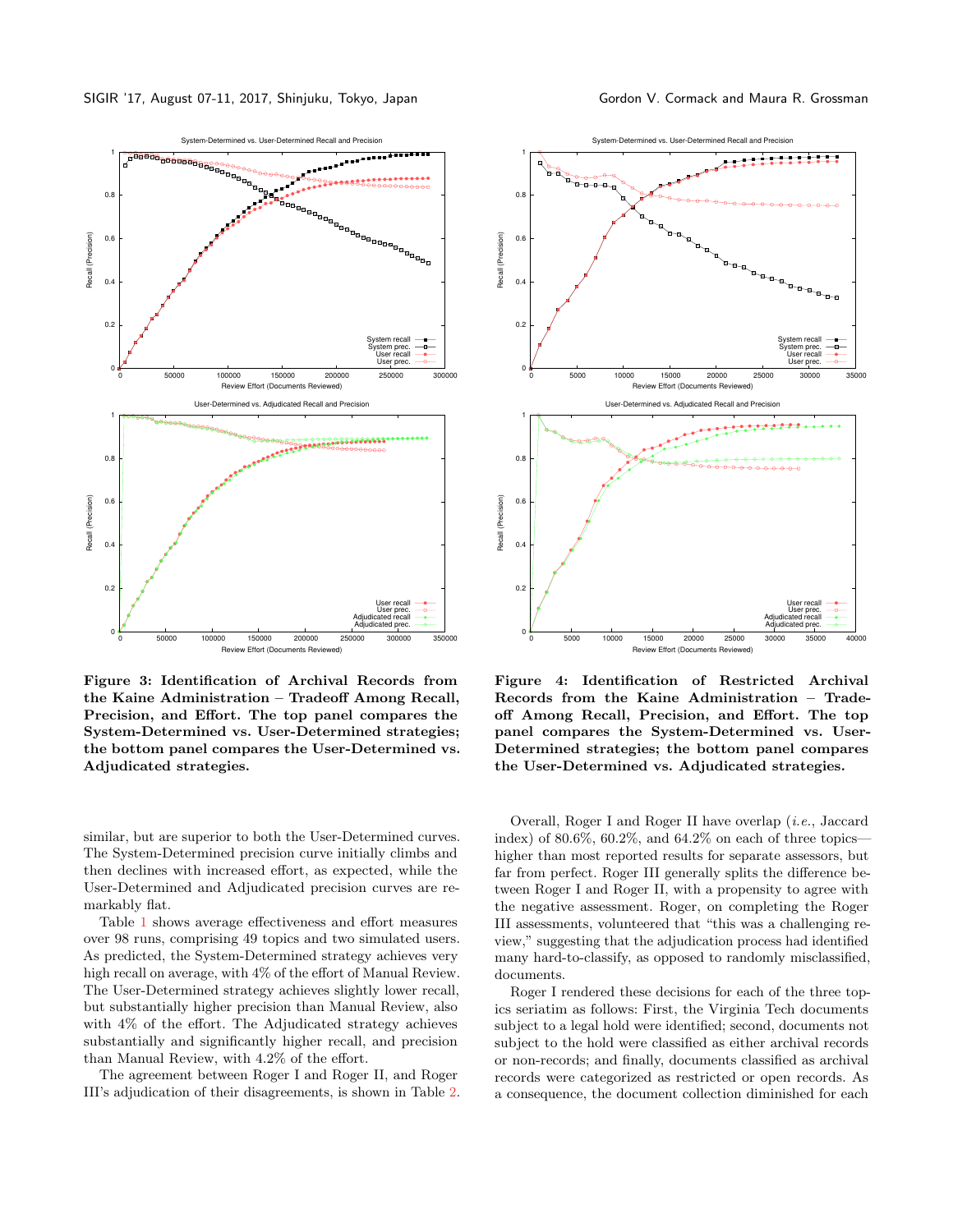<span id="page-7-0"></span>

Figure 3: Identification of Archival Records from the Kaine Administration – Tradeoff Among Recall, Precision, and Effort. The top panel compares the System-Determined vs. User-Determined strategies; the bottom panel compares the User-Determined vs. Adjudicated strategies.

similar, but are superior to both the User-Determined curves. The System-Determined precision curve initially climbs and then declines with increased effort, as expected, while the User-Determined and Adjudicated precision curves are remarkably flat.

Table [1](#page-4-0) shows average effectiveness and effort measures over 98 runs, comprising 49 topics and two simulated users. As predicted, the System-Determined strategy achieves very high recall on average, with 4% of the effort of Manual Review. The User-Determined strategy achieves slightly lower recall, but substantially higher precision than Manual Review, also with 4% of the effort. The Adjudicated strategy achieves substantially and significantly higher recall, and precision than Manual Review, with 4.2% of the effort.

The agreement between Roger I and Roger II, and Roger III's adjudication of their disagreements, is shown in Table [2.](#page-6-0)

<span id="page-7-1"></span>

Figure 4: Identification of Restricted Archival Records from the Kaine Administration – Tradeoff Among Recall, Precision, and Effort. The top panel compares the System-Determined vs. User-Determined strategies; the bottom panel compares the User-Determined vs. Adjudicated strategies.

Overall, Roger I and Roger II have overlap (i.e., Jaccard index) of 80.6%,  $60.2\%$ , and  $64.2\%$  on each of three topicshigher than most reported results for separate assessors, but far from perfect. Roger III generally splits the difference between Roger I and Roger II, with a propensity to agree with the negative assessment. Roger, on completing the Roger III assessments, volunteered that "this was a challenging review," suggesting that the adjudication process had identified many hard-to-classify, as opposed to randomly misclassified, documents.

Roger I rendered these decisions for each of the three topics seriatim as follows: First, the Virginia Tech documents subject to a legal hold were identified; second, documents not subject to the hold were classified as either archival records or non-records; and finally, documents classified as archival records were categorized as restricted or open records. As a consequence, the document collection diminished for each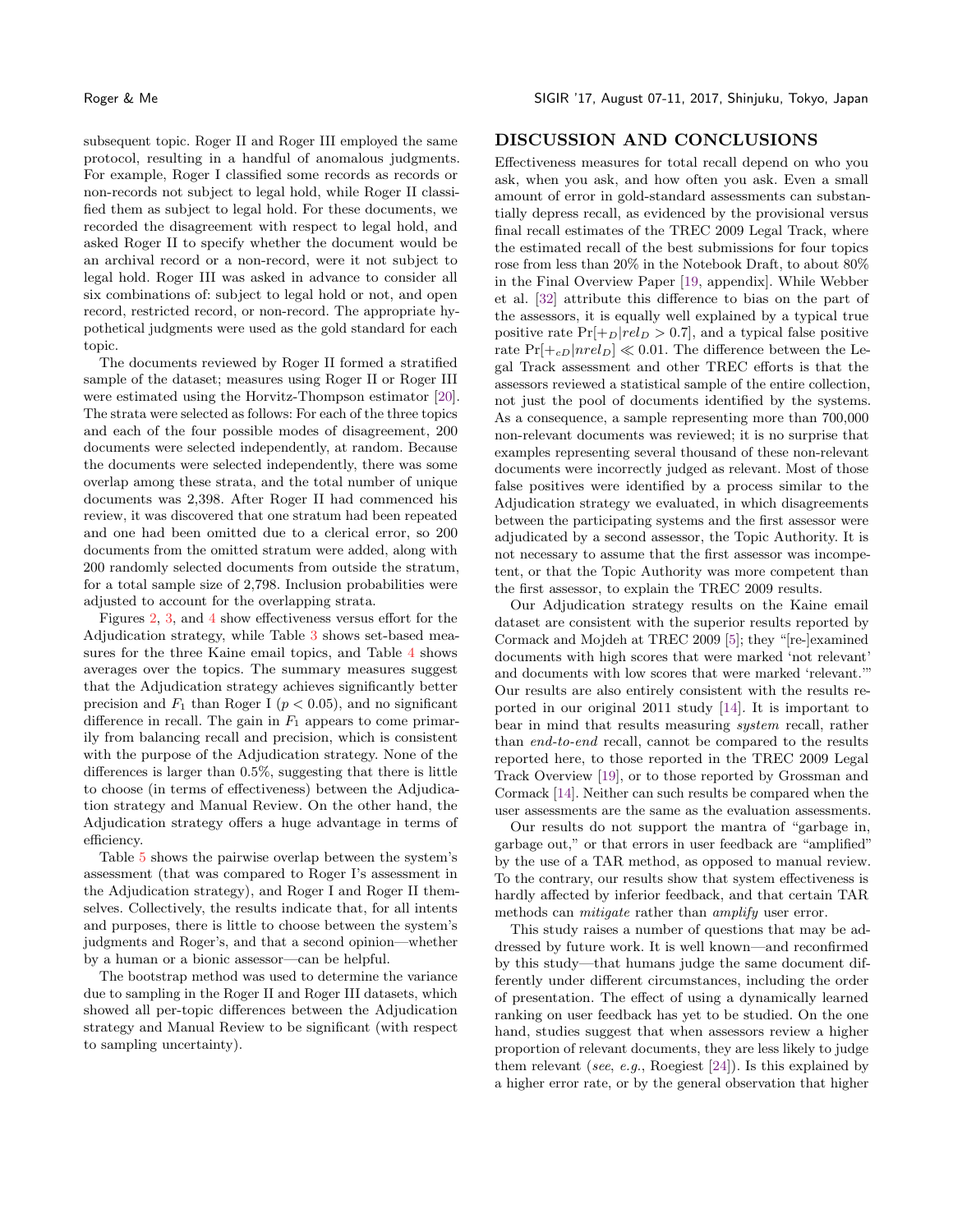subsequent topic. Roger II and Roger III employed the same protocol, resulting in a handful of anomalous judgments. For example, Roger I classified some records as records or non-records not subject to legal hold, while Roger II classified them as subject to legal hold. For these documents, we recorded the disagreement with respect to legal hold, and asked Roger II to specify whether the document would be an archival record or a non-record, were it not subject to legal hold. Roger III was asked in advance to consider all six combinations of: subject to legal hold or not, and open record, restricted record, or non-record. The appropriate hypothetical judgments were used as the gold standard for each topic.

The documents reviewed by Roger II formed a stratified sample of the dataset; measures using Roger II or Roger III were estimated using the Horvitz-Thompson estimator [\[20\]](#page-9-29). The strata were selected as follows: For each of the three topics and each of the four possible modes of disagreement, 200 documents were selected independently, at random. Because the documents were selected independently, there was some overlap among these strata, and the total number of unique documents was 2,398. After Roger II had commenced his review, it was discovered that one stratum had been repeated and one had been omitted due to a clerical error, so 200 documents from the omitted stratum were added, along with 200 randomly selected documents from outside the stratum, for a total sample size of 2,798. Inclusion probabilities were adjusted to account for the overlapping strata.

Figures [2,](#page-6-1) [3,](#page-7-0) and [4](#page-7-1) show effectiveness versus effort for the Adjudication strategy, while Table [3](#page-6-2) shows set-based measures for the three Kaine email topics, and Table [4](#page-6-3) shows averages over the topics. The summary measures suggest that the Adjudication strategy achieves significantly better precision and  $F_1$  than Roger I ( $p < 0.05$ ), and no significant difference in recall. The gain in  $F_1$  appears to come primarily from balancing recall and precision, which is consistent with the purpose of the Adjudication strategy. None of the differences is larger than 0.5%, suggesting that there is little to choose (in terms of effectiveness) between the Adjudication strategy and Manual Review. On the other hand, the Adjudication strategy offers a huge advantage in terms of efficiency.

Table [5](#page-6-4) shows the pairwise overlap between the system's assessment (that was compared to Roger I's assessment in the Adjudication strategy), and Roger I and Roger II themselves. Collectively, the results indicate that, for all intents and purposes, there is little to choose between the system's judgments and Roger's, and that a second opinion—whether by a human or a bionic assessor—can be helpful.

The bootstrap method was used to determine the variance due to sampling in the Roger II and Roger III datasets, which showed all per-topic differences between the Adjudication strategy and Manual Review to be significant (with respect to sampling uncertainty).

# DISCUSSION AND CONCLUSIONS

Effectiveness measures for total recall depend on who you ask, when you ask, and how often you ask. Even a small amount of error in gold-standard assessments can substantially depress recall, as evidenced by the provisional versus final recall estimates of the TREC 2009 Legal Track, where the estimated recall of the best submissions for four topics rose from less than 20% in the Notebook Draft, to about 80% in the Final Overview Paper [\[19,](#page-9-24) appendix]. While Webber et al. [\[32\]](#page-9-30) attribute this difference to bias on the part of the assessors, it is equally well explained by a typical true positive rate  $Pr[+_{D}| rel_{D} > 0.7]$ , and a typical false positive rate  $Pr[+_{cD}|$  *nrel*<sub>D</sub> $] \ll 0.01$ . The difference between the Legal Track assessment and other TREC efforts is that the assessors reviewed a statistical sample of the entire collection, not just the pool of documents identified by the systems. As a consequence, a sample representing more than 700,000 non-relevant documents was reviewed; it is no surprise that examples representing several thousand of these non-relevant documents were incorrectly judged as relevant. Most of those false positives were identified by a process similar to the Adjudication strategy we evaluated, in which disagreements between the participating systems and the first assessor were adjudicated by a second assessor, the Topic Authority. It is not necessary to assume that the first assessor was incompetent, or that the Topic Authority was more competent than the first assessor, to explain the TREC 2009 results.

Our Adjudication strategy results on the Kaine email dataset are consistent with the superior results reported by Cormack and Mojdeh at TREC 2009 [\[5\]](#page-9-31); they "[re-]examined documents with high scores that were marked 'not relevant' and documents with low scores that were marked 'relevant.'" Our results are also entirely consistent with the results reported in our original 2011 study [\[14\]](#page-9-1). It is important to bear in mind that results measuring system recall, rather than end-to-end recall, cannot be compared to the results reported here, to those reported in the TREC 2009 Legal Track Overview [\[19\]](#page-9-24), or to those reported by Grossman and Cormack [\[14\]](#page-9-1). Neither can such results be compared when the user assessments are the same as the evaluation assessments.

Our results do not support the mantra of "garbage in, garbage out," or that errors in user feedback are "amplified" by the use of a TAR method, as opposed to manual review. To the contrary, our results show that system effectiveness is hardly affected by inferior feedback, and that certain TAR methods can *mitigate* rather than *amplify* user error.

This study raises a number of questions that may be addressed by future work. It is well known—and reconfirmed by this study—that humans judge the same document differently under different circumstances, including the order of presentation. The effect of using a dynamically learned ranking on user feedback has yet to be studied. On the one hand, studies suggest that when assessors review a higher proportion of relevant documents, they are less likely to judge them relevant (see, e.g., Roegiest  $[24]$ ). Is this explained by a higher error rate, or by the general observation that higher